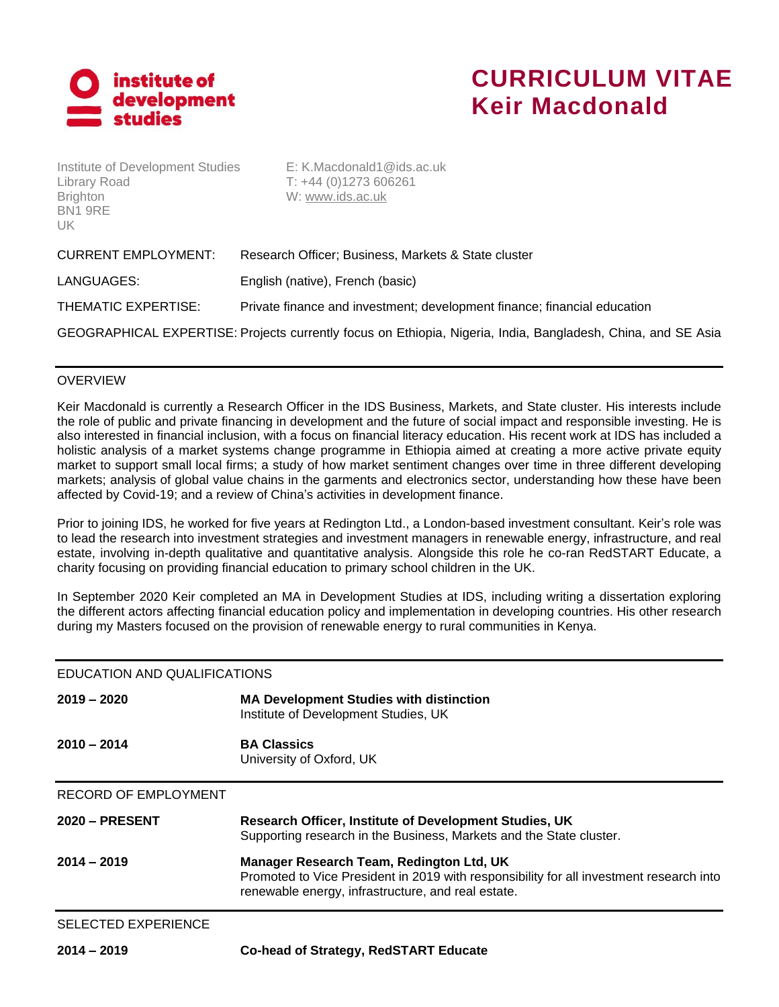

## **CURRICULUM VITAE Keir Macdonald**

Institute of Development Studies E: K.Macdonald1@ids.ac.uk Library Road T: +44 (0)1273 606261 Brighton W: [www.ids.ac.uk](http://www.ids.ac.uk/) BN1 9RE UK

| <b>CURRENT EMPLOYMENT:</b> | Research Officer; Business, Markets & State cluster                                                          |
|----------------------------|--------------------------------------------------------------------------------------------------------------|
| LANGUAGES:                 | English (native), French (basic)                                                                             |
| THEMATIC EXPERTISE:        | Private finance and investment; development finance; financial education                                     |
|                            | GEOGRAPHICAL EXPERTISE: Projects currently focus on Ethiopia, Nigeria, India, Bangladesh, China, and SE Asia |

## OVERVIEW

Keir Macdonald is currently a Research Officer in the IDS Business, Markets, and State cluster. His interests include the role of public and private financing in development and the future of social impact and responsible investing. He is also interested in financial inclusion, with a focus on financial literacy education. His recent work at IDS has included a holistic analysis of a market systems change programme in Ethiopia aimed at creating a more active private equity market to support small local firms; a study of how market sentiment changes over time in three different developing markets; analysis of global value chains in the garments and electronics sector, understanding how these have been affected by Covid-19; and a review of China's activities in development finance.

Prior to joining IDS, he worked for five years at Redington Ltd., a London-based investment consultant. Keir's role was to lead the research into investment strategies and investment managers in renewable energy, infrastructure, and real estate, involving in-depth qualitative and quantitative analysis. Alongside this role he co-ran RedSTART Educate, a charity focusing on providing financial education to primary school children in the UK.

In September 2020 Keir completed an MA in Development Studies at IDS, including writing a dissertation exploring the different actors affecting financial education policy and implementation in developing countries. His other research during my Masters focused on the provision of renewable energy to rural communities in Kenya.

## EDUCATION AND QUALIFICATIONS

| $2019 - 2020$         | <b>MA Development Studies with distinction</b><br>Institute of Development Studies, UK                                                                                                    |
|-----------------------|-------------------------------------------------------------------------------------------------------------------------------------------------------------------------------------------|
| $2010 - 2014$         | <b>BA Classics</b><br>University of Oxford, UK                                                                                                                                            |
| RECORD OF EMPLOYMENT  |                                                                                                                                                                                           |
| <b>2020 - PRESENT</b> | <b>Research Officer, Institute of Development Studies, UK</b><br>Supporting research in the Business, Markets and the State cluster.                                                      |
| $2014 - 2019$         | Manager Research Team, Redington Ltd, UK<br>Promoted to Vice President in 2019 with responsibility for all investment research into<br>renewable energy, infrastructure, and real estate. |